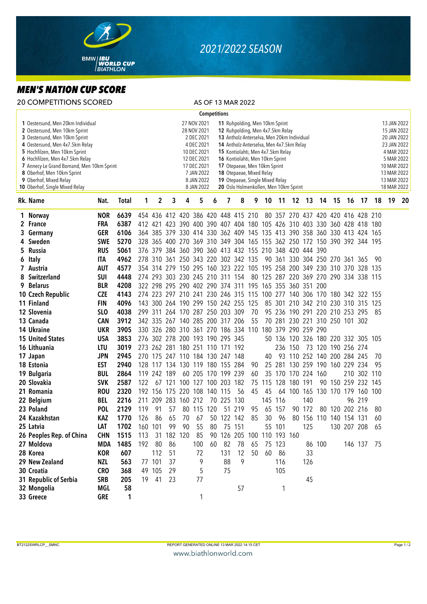

## *2021/2022 SEASON*

## *MEN'S NATION CUP SCORE*

|   | <b>20 COMPETITIONS SCORED</b>                                                                                                                                                                                                                                                                                                                      |                   |              |                |                                                                                                                                                                                                                                                                                                                                                                                                                                                                                                                               |        |                                 |          |                     |                     | AS OF 13 MAR 2022                                                       |    |    |                 |                                |        |                         |  |                |                                                                                                                                                  |          |       |  |
|---|----------------------------------------------------------------------------------------------------------------------------------------------------------------------------------------------------------------------------------------------------------------------------------------------------------------------------------------------------|-------------------|--------------|----------------|-------------------------------------------------------------------------------------------------------------------------------------------------------------------------------------------------------------------------------------------------------------------------------------------------------------------------------------------------------------------------------------------------------------------------------------------------------------------------------------------------------------------------------|--------|---------------------------------|----------|---------------------|---------------------|-------------------------------------------------------------------------|----|----|-----------------|--------------------------------|--------|-------------------------|--|----------------|--------------------------------------------------------------------------------------------------------------------------------------------------|----------|-------|--|
|   |                                                                                                                                                                                                                                                                                                                                                    |                   |              |                |                                                                                                                                                                                                                                                                                                                                                                                                                                                                                                                               |        |                                 |          | <b>Competitions</b> |                     |                                                                         |    |    |                 |                                |        |                         |  |                |                                                                                                                                                  |          |       |  |
|   | 1 Oestersund, Men 20km Individual<br>2 Oestersund, Men 10km Sprint<br>3 Oestersund, Men 10km Sprint<br>4 Oestersund, Men 4x7.5km Relay<br>5 Hochfilzen, Men 10km Sprint<br>6 Hochfilzen, Men 4x7.5km Relay<br>7 Annecy-Le Grand Bornand, Men 10km Sprint<br>8 Oberhof, Men 10km Sprint<br>9 Oberhof, Mixed Relay<br>10 Oberhof, Single Mixed Relay |                   |              |                | 27 NOV 2021<br>11 Ruhpolding, Men 10km Sprint<br>28 NOV 2021<br>12 Ruhpolding, Men 4x7.5km Relay<br>2 DEC 2021<br>13 Antholz-Anterselva, Men 20km Individual<br>4 DEC 2021<br>14 Antholz-Anterselva, Men 4x7.5km Relay<br>10 DEC 2021<br>15 Kontiolahti, Men 4x7.5km Relay<br>12 DEC 2021<br>16 Kontiolahti, Men 10km Sprint<br>17 DEC 2021<br>17 Otepaeae, Men 10km Sprint<br>7 JAN 2022<br>18 Otepaeae, Mixed Relay<br>8 JAN 2022<br>19 Otepaeae, Single Mixed Relay<br>20 Oslo Holmenkollen, Men 10km Sprint<br>8 JAN 2022 |        |                                 |          |                     |                     |                                                                         |    |    |                 |                                |        |                         |  |                | 13 JAN 2022<br>15 JAN 2022<br>20 JAN 2022<br>23 JAN 2022<br>4 MAR 2022<br>5 MAR 2022<br>10 MAR 2022<br>13 MAR 2022<br>13 MAR 2022<br>18 MAR 2022 |          |       |  |
|   | Rk. Name                                                                                                                                                                                                                                                                                                                                           | Nat.              | <b>Total</b> | 1              | 2                                                                                                                                                                                                                                                                                                                                                                                                                                                                                                                             | 3      | 4                               | 5        | 6                   | 7                   | 8                                                                       | 9  |    |                 | 10 11 12 13 14 15 16           |        |                         |  |                | 17                                                                                                                                               | 18       | 19 20 |  |
|   | 1 Norway                                                                                                                                                                                                                                                                                                                                           | <b>NOR</b>        | 6639         |                |                                                                                                                                                                                                                                                                                                                                                                                                                                                                                                                               |        |                                 |          |                     |                     | 454 436 412 420 386 420 448 415 210                                     |    |    |                 |                                |        |                         |  |                | 80 357 270 437 420 420 416 428 210                                                                                                               |          |       |  |
|   | 2 France                                                                                                                                                                                                                                                                                                                                           | <b>FRA</b>        | 6387         |                |                                                                                                                                                                                                                                                                                                                                                                                                                                                                                                                               |        |                                 |          |                     |                     | 412 421 423 390 400 390 407 404 180 105 426 310 403 330 360 428 418 180 |    |    |                 |                                |        |                         |  |                |                                                                                                                                                  |          |       |  |
|   | Germany                                                                                                                                                                                                                                                                                                                                            | <b>GER</b>        | 6106         |                |                                                                                                                                                                                                                                                                                                                                                                                                                                                                                                                               |        |                                 |          |                     |                     | 364 385 379 330 414 330 362 409 145 135 413 390 358 360 330 413 424 165 |    |    |                 |                                |        |                         |  |                |                                                                                                                                                  |          |       |  |
|   | 4 Sweden                                                                                                                                                                                                                                                                                                                                           | <b>SWE</b>        | 5270         |                |                                                                                                                                                                                                                                                                                                                                                                                                                                                                                                                               |        |                                 |          |                     |                     | 328 365 400 270 369 310 349 304 165 155 362 250 172 150 390 392 344 195 |    |    |                 |                                |        |                         |  |                |                                                                                                                                                  |          |       |  |
| 5 | Russia                                                                                                                                                                                                                                                                                                                                             | <b>RUS</b>        | 5061         |                |                                                                                                                                                                                                                                                                                                                                                                                                                                                                                                                               |        |                                 |          |                     |                     | 376 379 384 360 390 360 413 432 155 210 348 420 444 390                 |    |    |                 |                                |        |                         |  |                |                                                                                                                                                  |          |       |  |
| 6 | Italy                                                                                                                                                                                                                                                                                                                                              | <b>ITA</b>        | 4962         |                |                                                                                                                                                                                                                                                                                                                                                                                                                                                                                                                               |        |                                 |          |                     |                     | 278 310 361 250 343 220 302 342 135                                     |    |    |                 | 90 361 330 304 250 270 361 365 |        |                         |  |                |                                                                                                                                                  | 90       |       |  |
|   | 7 Austria                                                                                                                                                                                                                                                                                                                                          | <b>AUT</b>        | 4577         |                |                                                                                                                                                                                                                                                                                                                                                                                                                                                                                                                               |        |                                 |          |                     |                     | 354 314 279 150 295 160 323 222 105 195 258 200 349 230 310 370 328     |    |    |                 |                                |        |                         |  |                |                                                                                                                                                  | 135      |       |  |
|   | 8 Switzerland                                                                                                                                                                                                                                                                                                                                      | <b>SUI</b>        | 4448         |                |                                                                                                                                                                                                                                                                                                                                                                                                                                                                                                                               |        | 274 293 303 230 245 210 311 154 |          |                     |                     |                                                                         |    |    |                 |                                |        |                         |  |                | 80 125 287 220 369 270 290 334 338 115                                                                                                           |          |       |  |
|   | 9 Belarus                                                                                                                                                                                                                                                                                                                                          | <b>BLR</b>        | 4208         |                |                                                                                                                                                                                                                                                                                                                                                                                                                                                                                                                               |        |                                 |          |                     |                     | 322 298 295 290 402 290 374 311 195 165 355 360 351 200                 |    |    |                 |                                |        |                         |  |                |                                                                                                                                                  |          |       |  |
|   | 10 Czech Republic                                                                                                                                                                                                                                                                                                                                  | <b>CZE</b>        | 4143         |                |                                                                                                                                                                                                                                                                                                                                                                                                                                                                                                                               |        |                                 |          |                     |                     | 274 223 297 210 241 230 246 315 115 100 277 140 306 170 180 342 322 155 |    |    |                 |                                |        |                         |  |                |                                                                                                                                                  |          |       |  |
|   | 11 Finland                                                                                                                                                                                                                                                                                                                                         | <b>FIN</b>        | 4096         |                |                                                                                                                                                                                                                                                                                                                                                                                                                                                                                                                               |        |                                 |          |                     |                     | 143 300 264 190 299 150 242 255 125                                     |    |    |                 |                                |        |                         |  |                | 85 301 210 342 210 230 310 315 125                                                                                                               |          |       |  |
|   | 12 Slovenia                                                                                                                                                                                                                                                                                                                                        | SL <sub>O</sub>   | 4038         |                |                                                                                                                                                                                                                                                                                                                                                                                                                                                                                                                               |        | 299 311 264 170 287 250 203 309 |          |                     |                     |                                                                         | 70 |    |                 | 95 236 190 291 220 210 253 295 |        |                         |  |                |                                                                                                                                                  | 85       |       |  |
|   | 13 Canada                                                                                                                                                                                                                                                                                                                                          | <b>CAN</b>        | 3912         |                |                                                                                                                                                                                                                                                                                                                                                                                                                                                                                                                               |        | 342 335 267 140 285 200 317 206 |          |                     |                     |                                                                         | 55 |    |                 | 70 281 230 221 310 250 101 302 |        |                         |  |                |                                                                                                                                                  |          |       |  |
|   | 14 Ukraine                                                                                                                                                                                                                                                                                                                                         | <b>UKR</b>        | 3905         |                |                                                                                                                                                                                                                                                                                                                                                                                                                                                                                                                               |        |                                 |          |                     |                     | 330 326 280 310 361 270 186 334 110                                     |    |    |                 | 180 379 290 259 290            |        |                         |  |                |                                                                                                                                                  |          |       |  |
|   | <b>15 United States</b>                                                                                                                                                                                                                                                                                                                            | <b>USA</b>        | 3853         |                |                                                                                                                                                                                                                                                                                                                                                                                                                                                                                                                               |        | 276 302 278 200 193 190 295 345 |          |                     |                     |                                                                         |    |    |                 |                                |        |                         |  |                | 50 136 120 326 180 220 332 305 105                                                                                                               |          |       |  |
|   | 16 Lithuania                                                                                                                                                                                                                                                                                                                                       | LTU               | 3019         |                |                                                                                                                                                                                                                                                                                                                                                                                                                                                                                                                               |        | 273 262 281 180 251 110 171 192 |          |                     |                     |                                                                         |    |    |                 | 236 150                        |        | 73 120 190 256 274      |  |                |                                                                                                                                                  |          |       |  |
|   | 17 Japan                                                                                                                                                                                                                                                                                                                                           | <b>JPN</b>        | 2945         |                |                                                                                                                                                                                                                                                                                                                                                                                                                                                                                                                               |        | 270 175 247 110 184 130 247 148 |          |                     |                     |                                                                         |    | 40 | 93              |                                |        | 110 252 140 200 284 245 |  |                |                                                                                                                                                  | 70       |       |  |
|   | 18 Estonia                                                                                                                                                                                                                                                                                                                                         | <b>EST</b>        | 2940         |                |                                                                                                                                                                                                                                                                                                                                                                                                                                                                                                                               |        | 128 117 134 130 119 180 155 284 |          |                     |                     |                                                                         | 90 |    |                 | 25 281 130 259 190 160 229 234 |        |                         |  |                |                                                                                                                                                  | 95       |       |  |
|   | 19 Bulgaria                                                                                                                                                                                                                                                                                                                                        | <b>BUL</b>        | 2864         |                | 119 242 189                                                                                                                                                                                                                                                                                                                                                                                                                                                                                                                   |        |                                 |          |                     | 60 205 170 199 239  |                                                                         | 60 |    |                 | 35 170 170 224 160             |        |                         |  |                | 210 302 110                                                                                                                                      |          |       |  |
|   | 20 Slovakia                                                                                                                                                                                                                                                                                                                                        | <b>SVK</b>        | 2587         | 122            |                                                                                                                                                                                                                                                                                                                                                                                                                                                                                                                               | 67 121 |                                 |          |                     | 100 127 100 203 182 |                                                                         | 75 |    |                 | 115 128 180 191                |        |                         |  |                | 90 150 259 232 145                                                                                                                               |          |       |  |
|   | 21 Romania                                                                                                                                                                                                                                                                                                                                         | <b>ROU</b>        | 2320         |                |                                                                                                                                                                                                                                                                                                                                                                                                                                                                                                                               |        | 192 156 175 220 108 140 115     |          |                     |                     | 56                                                                      | 45 | 45 |                 |                                |        |                         |  |                | 64 100 165 130 170 179 160 100                                                                                                                   |          |       |  |
|   | 22 Belgium                                                                                                                                                                                                                                                                                                                                         | <b>BEL</b>        | 2216         |                |                                                                                                                                                                                                                                                                                                                                                                                                                                                                                                                               |        | 211 209 283 160 212             |          |                     | 70 225 130          |                                                                         |    |    | 145 116         |                                | 140    |                         |  |                | 96 219                                                                                                                                           |          |       |  |
|   | 23 Poland<br>24 Kazakhstan                                                                                                                                                                                                                                                                                                                         | <b>POL</b>        | 2129<br>1770 | 119            | 91                                                                                                                                                                                                                                                                                                                                                                                                                                                                                                                            | 57     |                                 | 70 67    | 80 115 120          | 50 122 142          | 51 219                                                                  | 95 |    | 65 157<br>30 96 |                                | 90 172 |                         |  | 80 120 202 216 |                                                                                                                                                  | 80<br>60 |       |  |
|   |                                                                                                                                                                                                                                                                                                                                                    | KAZ               |              | 126            |                                                                                                                                                                                                                                                                                                                                                                                                                                                                                                                               | 86 65  |                                 |          |                     |                     |                                                                         | 85 |    |                 |                                |        | 80 156 110 140 154 131  |  |                |                                                                                                                                                  |          |       |  |
|   | 25 Latvia                                                                                                                                                                                                                                                                                                                                          | LAT<br><b>CHN</b> | 1702<br>1515 | 160 101<br>113 |                                                                                                                                                                                                                                                                                                                                                                                                                                                                                                                               | 99     | 90<br>182 120                   | 55<br>85 | 80                  |                     | 75 151<br>90 126 205 100 110 193 160                                    |    |    | 55 101          |                                | 125    |                         |  |                | 130 207 208 65                                                                                                                                   |          |       |  |
|   | 26 Peoples Rep. of China<br>27 Moldova                                                                                                                                                                                                                                                                                                             | MDA               | 1485         | 192            | 31<br>80                                                                                                                                                                                                                                                                                                                                                                                                                                                                                                                      | 86     |                                 | 100      | 60                  | 82                  | 78                                                                      | 65 |    | 75 123          |                                |        |                         |  |                |                                                                                                                                                  |          |       |  |
|   | 28 Korea                                                                                                                                                                                                                                                                                                                                           | <b>KOR</b>        | 607          |                | 112                                                                                                                                                                                                                                                                                                                                                                                                                                                                                                                           | 51     |                                 | 72       |                     | 131                 | 12                                                                      | 50 | 60 | - 86            |                                | 33     | 86 100                  |  |                | 146 137 75                                                                                                                                       |          |       |  |
|   | 29 New Zealand                                                                                                                                                                                                                                                                                                                                     | NZL               | 563          |                | 77 101                                                                                                                                                                                                                                                                                                                                                                                                                                                                                                                        | 37     |                                 | 9        |                     | 88                  | 9                                                                       |    |    | 116             |                                | 126    |                         |  |                |                                                                                                                                                  |          |       |  |
|   | 30 Croatia                                                                                                                                                                                                                                                                                                                                         | <b>CRO</b>        | 368          |                | 49 105                                                                                                                                                                                                                                                                                                                                                                                                                                                                                                                        | 29     |                                 | 5        |                     | 75                  |                                                                         |    |    | 105             |                                |        |                         |  |                |                                                                                                                                                  |          |       |  |
|   | 31 Republic of Serbia                                                                                                                                                                                                                                                                                                                              | <b>SRB</b>        | 205          | 19             | 41                                                                                                                                                                                                                                                                                                                                                                                                                                                                                                                            | 23     |                                 | 77       |                     |                     |                                                                         |    |    |                 |                                | 45     |                         |  |                |                                                                                                                                                  |          |       |  |
|   | 32 Mongolia                                                                                                                                                                                                                                                                                                                                        | MGL               | 58           |                |                                                                                                                                                                                                                                                                                                                                                                                                                                                                                                                               |        |                                 |          |                     |                     | 57                                                                      |    |    | 1               |                                |        |                         |  |                |                                                                                                                                                  |          |       |  |
|   | 33 Greece                                                                                                                                                                                                                                                                                                                                          | GRE               | 1            |                |                                                                                                                                                                                                                                                                                                                                                                                                                                                                                                                               |        |                                 | 1        |                     |                     |                                                                         |    |    |                 |                                |        |                         |  |                |                                                                                                                                                  |          |       |  |
|   |                                                                                                                                                                                                                                                                                                                                                    |                   |              |                |                                                                                                                                                                                                                                                                                                                                                                                                                                                                                                                               |        |                                 |          |                     |                     |                                                                         |    |    |                 |                                |        |                         |  |                |                                                                                                                                                  |          |       |  |